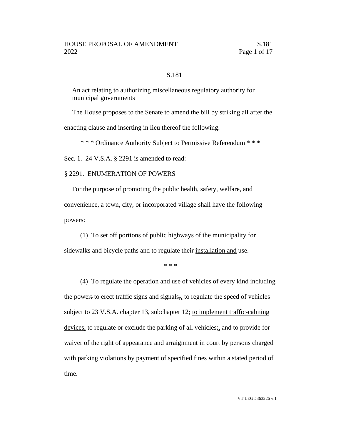## S.181

An act relating to authorizing miscellaneous regulatory authority for municipal governments

The House proposes to the Senate to amend the bill by striking all after the enacting clause and inserting in lieu thereof the following:

\* \* \* Ordinance Authority Subject to Permissive Referendum \* \* \*

Sec. 1. 24 V.S.A. § 2291 is amended to read:

#### § 2291. ENUMERATION OF POWERS

For the purpose of promoting the public health, safety, welfare, and convenience, a town, city, or incorporated village shall have the following powers:

(1) To set off portions of public highways of the municipality for sidewalks and bicycle paths and to regulate their installation and use.

\* \* \*

(4) To regulate the operation and use of vehicles of every kind including the power: to erect traffic signs and signals;, to regulate the speed of vehicles subject to 23 V.S.A. chapter 13, subchapter 12; to implement traffic-calming devices, to regulate or exclude the parking of all vehicles;, and to provide for waiver of the right of appearance and arraignment in court by persons charged with parking violations by payment of specified fines within a stated period of time.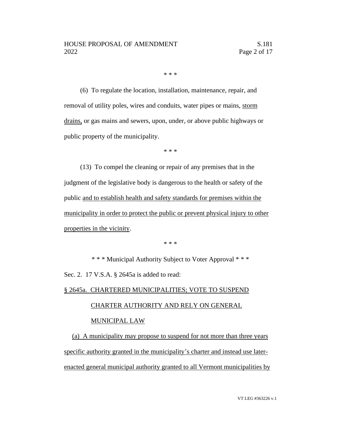\* \* \*

(6) To regulate the location, installation, maintenance, repair, and removal of utility poles, wires and conduits, water pipes or mains, storm drains, or gas mains and sewers, upon, under, or above public highways or public property of the municipality.

\* \* \*

(13) To compel the cleaning or repair of any premises that in the judgment of the legislative body is dangerous to the health or safety of the public and to establish health and safety standards for premises within the municipality in order to protect the public or prevent physical injury to other properties in the vicinity.

\* \* \*

\* \* \* Municipal Authority Subject to Voter Approval \* \* \* Sec. 2. 17 V.S.A. § 2645a is added to read:

### § 2645a. CHARTERED MUNICIPALITIES; VOTE TO SUSPEND

### CHARTER AUTHORITY AND RELY ON GENERAL

# MUNICIPAL LAW

(a) A municipality may propose to suspend for not more than three years specific authority granted in the municipality's charter and instead use laterenacted general municipal authority granted to all Vermont municipalities by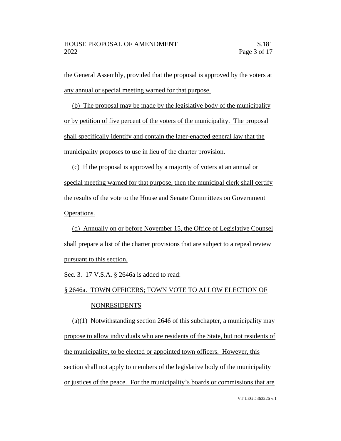the General Assembly, provided that the proposal is approved by the voters at any annual or special meeting warned for that purpose.

(b) The proposal may be made by the legislative body of the municipality or by petition of five percent of the voters of the municipality. The proposal shall specifically identify and contain the later-enacted general law that the municipality proposes to use in lieu of the charter provision.

(c) If the proposal is approved by a majority of voters at an annual or special meeting warned for that purpose, then the municipal clerk shall certify the results of the vote to the House and Senate Committees on Government Operations.

(d) Annually on or before November 15, the Office of Legislative Counsel shall prepare a list of the charter provisions that are subject to a repeal review pursuant to this section.

Sec. 3. 17 V.S.A. § 2646a is added to read:

§ 2646a. TOWN OFFICERS; TOWN VOTE TO ALLOW ELECTION OF

# NONRESIDENTS

(a)(1) Notwithstanding section 2646 of this subchapter, a municipality may propose to allow individuals who are residents of the State, but not residents of the municipality, to be elected or appointed town officers. However, this section shall not apply to members of the legislative body of the municipality or justices of the peace. For the municipality's boards or commissions that are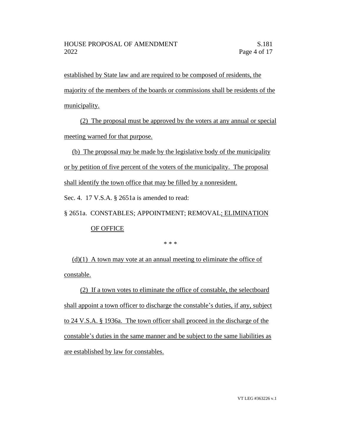established by State law and are required to be composed of residents, the majority of the members of the boards or commissions shall be residents of the municipality.

(2) The proposal must be approved by the voters at any annual or special meeting warned for that purpose.

(b) The proposal may be made by the legislative body of the municipality or by petition of five percent of the voters of the municipality. The proposal shall identify the town office that may be filled by a nonresident.

Sec. 4. 17 V.S.A. § 2651a is amended to read:

§ 2651a. CONSTABLES; APPOINTMENT; REMOVAL; ELIMINATION

# OF OFFICE

\* \* \*

 $(d)(1)$  A town may vote at an annual meeting to eliminate the office of constable.

(2) If a town votes to eliminate the office of constable, the selectboard shall appoint a town officer to discharge the constable's duties, if any, subject to 24 V.S.A. § 1936a. The town officer shall proceed in the discharge of the constable's duties in the same manner and be subject to the same liabilities as are established by law for constables.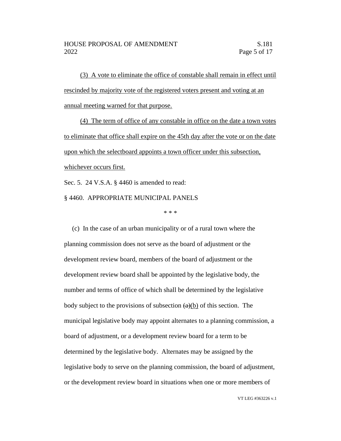(3) A vote to eliminate the office of constable shall remain in effect until rescinded by majority vote of the registered voters present and voting at an annual meeting warned for that purpose.

(4) The term of office of any constable in office on the date a town votes to eliminate that office shall expire on the 45th day after the vote or on the date upon which the selectboard appoints a town officer under this subsection, whichever occurs first.

Sec. 5. 24 V.S.A. § 4460 is amended to read:

§ 4460. APPROPRIATE MUNICIPAL PANELS

\* \* \*

(c) In the case of an urban municipality or of a rural town where the planning commission does not serve as the board of adjustment or the development review board, members of the board of adjustment or the development review board shall be appointed by the legislative body, the number and terms of office of which shall be determined by the legislative body subject to the provisions of subsection  $(a)(b)$  of this section. The municipal legislative body may appoint alternates to a planning commission, a board of adjustment, or a development review board for a term to be determined by the legislative body. Alternates may be assigned by the legislative body to serve on the planning commission, the board of adjustment, or the development review board in situations when one or more members of

VT LEG #363226 v.1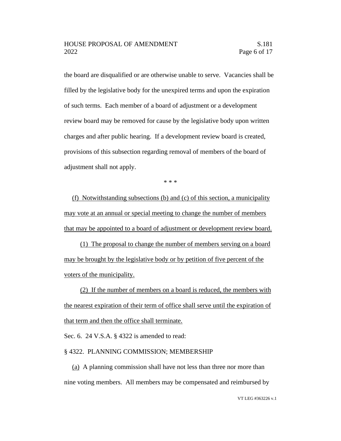the board are disqualified or are otherwise unable to serve. Vacancies shall be filled by the legislative body for the unexpired terms and upon the expiration of such terms. Each member of a board of adjustment or a development review board may be removed for cause by the legislative body upon written charges and after public hearing. If a development review board is created, provisions of this subsection regarding removal of members of the board of adjustment shall not apply.

\* \* \*

(f) Notwithstanding subsections (b) and (c) of this section, a municipality may vote at an annual or special meeting to change the number of members that may be appointed to a board of adjustment or development review board.

(1) The proposal to change the number of members serving on a board may be brought by the legislative body or by petition of five percent of the voters of the municipality.

(2) If the number of members on a board is reduced, the members with the nearest expiration of their term of office shall serve until the expiration of that term and then the office shall terminate.

Sec. 6. 24 V.S.A. § 4322 is amended to read:

### § 4322. PLANNING COMMISSION; MEMBERSHIP

(a) A planning commission shall have not less than three nor more than nine voting members. All members may be compensated and reimbursed by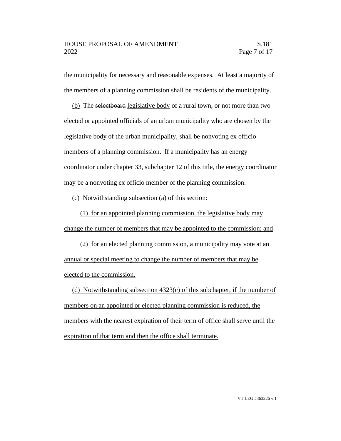the municipality for necessary and reasonable expenses. At least a majority of the members of a planning commission shall be residents of the municipality.

(b) The selectboard legislative body of a rural town, or not more than two elected or appointed officials of an urban municipality who are chosen by the legislative body of the urban municipality, shall be nonvoting ex officio members of a planning commission. If a municipality has an energy coordinator under chapter 33, subchapter 12 of this title, the energy coordinator may be a nonvoting ex officio member of the planning commission.

(c) Notwithstanding subsection (a) of this section:

(1) for an appointed planning commission, the legislative body may change the number of members that may be appointed to the commission; and

(2) for an elected planning commission, a municipality may vote at an annual or special meeting to change the number of members that may be elected to the commission.

(d) Notwithstanding subsection  $4323(c)$  of this subchapter, if the number of members on an appointed or elected planning commission is reduced, the members with the nearest expiration of their term of office shall serve until the expiration of that term and then the office shall terminate.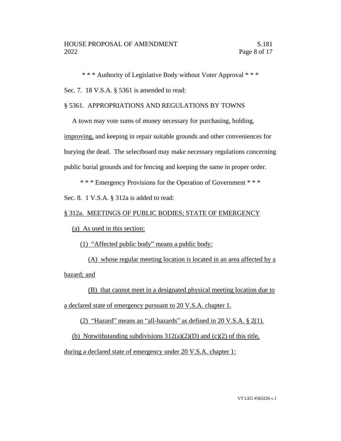\* \* \* Authority of Legislative Body without Voter Approval \* \* \*

Sec. 7. 18 V.S.A. § 5361 is amended to read:

## § 5361. APPROPRIATIONS AND REGULATIONS BY TOWNS

A town may vote sums of money necessary for purchasing, holding,

improving, and keeping in repair suitable grounds and other conveniences for burying the dead. The selectboard may make necessary regulations concerning public burial grounds and for fencing and keeping the same in proper order.

\* \* \* Emergency Provisions for the Operation of Government \* \* \*

Sec. 8. 1 V.S.A. § 312a is added to read:

#### § 312a. MEETINGS OF PUBLIC BODIES; STATE OF EMERGENCY

(a) As used in this section:

(1) "Affected public body" means a public body:

(A) whose regular meeting location is located in an area affected by a hazard; and

(B) that cannot meet in a designated physical meeting location due to a declared state of emergency pursuant to 20 V.S.A. chapter 1.

(2) "Hazard" means an "all-hazards" as defined in 20 V.S.A. § 2(1).

(b) Notwithstanding subdivisions  $312(a)(2)(D)$  and (c)(2) of this title,

during a declared state of emergency under 20 V.S.A. chapter 1: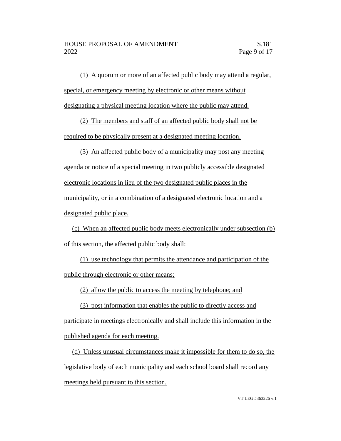(1) A quorum or more of an affected public body may attend a regular, special, or emergency meeting by electronic or other means without designating a physical meeting location where the public may attend.

(2) The members and staff of an affected public body shall not be required to be physically present at a designated meeting location.

(3) An affected public body of a municipality may post any meeting agenda or notice of a special meeting in two publicly accessible designated electronic locations in lieu of the two designated public places in the municipality, or in a combination of a designated electronic location and a designated public place.

(c) When an affected public body meets electronically under subsection (b) of this section, the affected public body shall:

(1) use technology that permits the attendance and participation of the public through electronic or other means;

(2) allow the public to access the meeting by telephone; and

(3) post information that enables the public to directly access and participate in meetings electronically and shall include this information in the published agenda for each meeting.

(d) Unless unusual circumstances make it impossible for them to do so, the legislative body of each municipality and each school board shall record any meetings held pursuant to this section.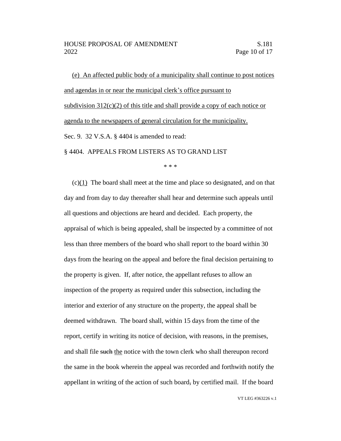(e) An affected public body of a municipality shall continue to post notices and agendas in or near the municipal clerk's office pursuant to subdivision  $312(c)(2)$  of this title and shall provide a copy of each notice or agenda to the newspapers of general circulation for the municipality. Sec. 9. 32 V.S.A. § 4404 is amended to read: § 4404. APPEALS FROM LISTERS AS TO GRAND LIST

\* \* \*

(c)(1) The board shall meet at the time and place so designated, and on that day and from day to day thereafter shall hear and determine such appeals until all questions and objections are heard and decided. Each property, the appraisal of which is being appealed, shall be inspected by a committee of not less than three members of the board who shall report to the board within 30 days from the hearing on the appeal and before the final decision pertaining to the property is given. If, after notice, the appellant refuses to allow an inspection of the property as required under this subsection, including the interior and exterior of any structure on the property, the appeal shall be deemed withdrawn. The board shall, within 15 days from the time of the report, certify in writing its notice of decision, with reasons, in the premises, and shall file such the notice with the town clerk who shall thereupon record the same in the book wherein the appeal was recorded and forthwith notify the appellant in writing of the action of such board, by certified mail. If the board

VT LEG #363226 v.1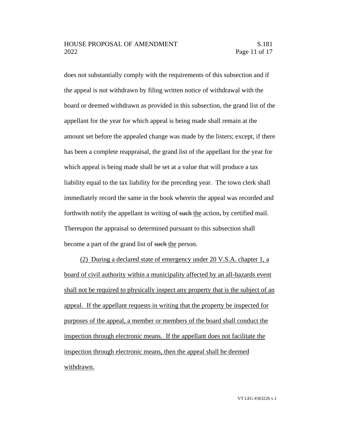## HOUSE PROPOSAL OF AMENDMENT S.181 2022 Page 11 of 17

does not substantially comply with the requirements of this subsection and if the appeal is not withdrawn by filing written notice of withdrawal with the board or deemed withdrawn as provided in this subsection, the grand list of the appellant for the year for which appeal is being made shall remain at the amount set before the appealed change was made by the listers; except, if there has been a complete reappraisal, the grand list of the appellant for the year for which appeal is being made shall be set at a value that will produce a tax liability equal to the tax liability for the preceding year. The town clerk shall immediately record the same in the book wherein the appeal was recorded and forthwith notify the appellant in writing of such the action, by certified mail. Thereupon the appraisal so determined pursuant to this subsection shall become a part of the grand list of such the person.

(2) During a declared state of emergency under 20 V.S.A. chapter 1, a board of civil authority within a municipality affected by an all-hazards event shall not be required to physically inspect any property that is the subject of an appeal. If the appellant requests in writing that the property be inspected for purposes of the appeal, a member or members of the board shall conduct the inspection through electronic means. If the appellant does not facilitate the inspection through electronic means, then the appeal shall be deemed withdrawn.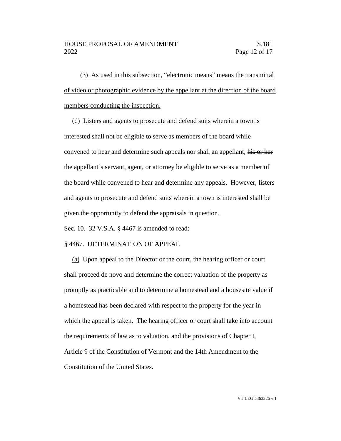(3) As used in this subsection, "electronic means" means the transmittal of video or photographic evidence by the appellant at the direction of the board members conducting the inspection.

(d) Listers and agents to prosecute and defend suits wherein a town is interested shall not be eligible to serve as members of the board while convened to hear and determine such appeals nor shall an appellant, his or her the appellant's servant, agent, or attorney be eligible to serve as a member of the board while convened to hear and determine any appeals. However, listers and agents to prosecute and defend suits wherein a town is interested shall be given the opportunity to defend the appraisals in question.

Sec. 10. 32 V.S.A. § 4467 is amended to read:

#### § 4467. DETERMINATION OF APPEAL

(a) Upon appeal to the Director or the court, the hearing officer or court shall proceed de novo and determine the correct valuation of the property as promptly as practicable and to determine a homestead and a housesite value if a homestead has been declared with respect to the property for the year in which the appeal is taken. The hearing officer or court shall take into account the requirements of law as to valuation, and the provisions of Chapter I, Article 9 of the Constitution of Vermont and the 14th Amendment to the Constitution of the United States.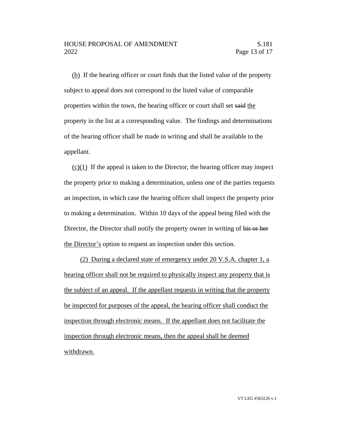(b) If the hearing officer or court finds that the listed value of the property subject to appeal does not correspond to the listed value of comparable properties within the town, the hearing officer or court shall set said the property in the list at a corresponding value. The findings and determinations of the hearing officer shall be made in writing and shall be available to the appellant.

 $(c)(1)$  If the appeal is taken to the Director, the hearing officer may inspect the property prior to making a determination, unless one of the parties requests an inspection, in which case the hearing officer shall inspect the property prior to making a determination. Within 10 days of the appeal being filed with the Director, the Director shall notify the property owner in writing of his or her the Director's option to request an inspection under this section.

(2) During a declared state of emergency under 20 V.S.A. chapter 1, a hearing officer shall not be required to physically inspect any property that is the subject of an appeal. If the appellant requests in writing that the property be inspected for purposes of the appeal, the hearing officer shall conduct the inspection through electronic means. If the appellant does not facilitate the inspection through electronic means, then the appeal shall be deemed withdrawn.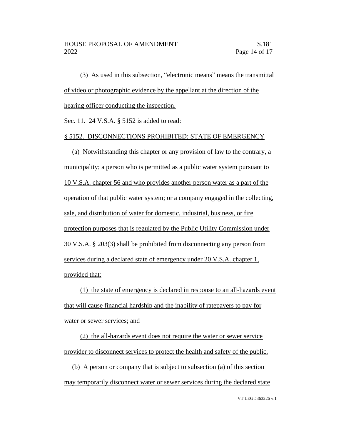(3) As used in this subsection, "electronic means" means the transmittal of video or photographic evidence by the appellant at the direction of the hearing officer conducting the inspection.

Sec. 11. 24 V.S.A. § 5152 is added to read:

# § 5152. DISCONNECTIONS PROHIBITED; STATE OF EMERGENCY

(a) Notwithstanding this chapter or any provision of law to the contrary, a municipality; a person who is permitted as a public water system pursuant to 10 V.S.A. chapter 56 and who provides another person water as a part of the operation of that public water system; or a company engaged in the collecting, sale, and distribution of water for domestic, industrial, business, or fire protection purposes that is regulated by the Public Utility Commission under 30 V.S.A. § 203(3) shall be prohibited from disconnecting any person from services during a declared state of emergency under 20 V.S.A. chapter 1, provided that:

(1) the state of emergency is declared in response to an all-hazards event that will cause financial hardship and the inability of ratepayers to pay for water or sewer services; and

(2) the all-hazards event does not require the water or sewer service provider to disconnect services to protect the health and safety of the public.

(b) A person or company that is subject to subsection (a) of this section may temporarily disconnect water or sewer services during the declared state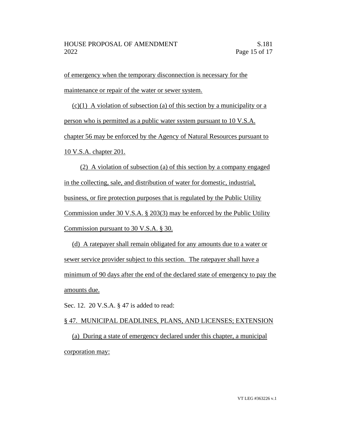of emergency when the temporary disconnection is necessary for the maintenance or repair of the water or sewer system.

 $(c)(1)$  A violation of subsection (a) of this section by a municipality or a person who is permitted as a public water system pursuant to 10 V.S.A. chapter 56 may be enforced by the Agency of Natural Resources pursuant to 10 V.S.A. chapter 201.

(2) A violation of subsection (a) of this section by a company engaged in the collecting, sale, and distribution of water for domestic, industrial, business, or fire protection purposes that is regulated by the Public Utility Commission under 30 V.S.A. § 203(3) may be enforced by the Public Utility Commission pursuant to 30 V.S.A. § 30.

(d) A ratepayer shall remain obligated for any amounts due to a water or sewer service provider subject to this section. The ratepayer shall have a minimum of 90 days after the end of the declared state of emergency to pay the amounts due.

Sec. 12. 20 V.S.A. § 47 is added to read:

§ 47. MUNICIPAL DEADLINES, PLANS, AND LICENSES; EXTENSION (a) During a state of emergency declared under this chapter, a municipal corporation may: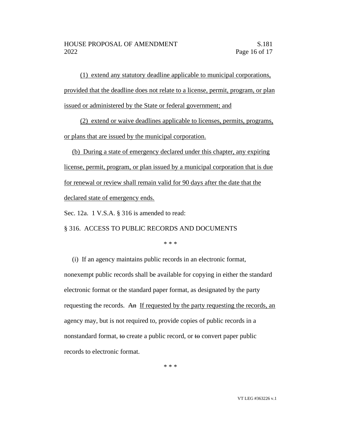(1) extend any statutory deadline applicable to municipal corporations, provided that the deadline does not relate to a license, permit, program, or plan issued or administered by the State or federal government; and

(2) extend or waive deadlines applicable to licenses, permits, programs, or plans that are issued by the municipal corporation.

(b) During a state of emergency declared under this chapter, any expiring license, permit, program, or plan issued by a municipal corporation that is due for renewal or review shall remain valid for 90 days after the date that the declared state of emergency ends.

Sec. 12a. 1 V.S.A. § 316 is amended to read:

§ 316. ACCESS TO PUBLIC RECORDS AND DOCUMENTS

\* \* \*

(i) If an agency maintains public records in an electronic format, nonexempt public records shall be available for copying in either the standard electronic format or the standard paper format, as designated by the party requesting the records. An If requested by the party requesting the records, an agency may, but is not required to, provide copies of public records in a nonstandard format, to create a public record, or to convert paper public records to electronic format.

\* \* \*